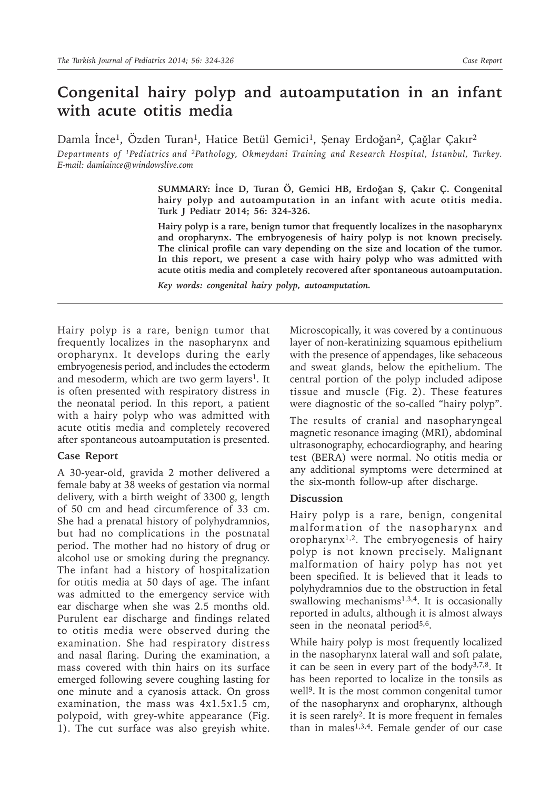## **Congenital hairy polyp and autoamputation in an infant with acute otitis media**

Damla İnce<sup>1</sup>, Özden Turan<sup>1</sup>, Hatice Betül Gemici<sup>1</sup>, Şenay Erdoğan<sup>2</sup>, Çağlar Çakır<sup>2</sup> *Departments of 1Pediatrics and 2Pathology, Okmeydani Training and Research Hospital, İstanbul, Turkey. E-mail: damlaince@windowslive.com*

> **SUMMARY: İnce D, Turan Ö, Gemici HB, Erdoğan Ş, Çakır Ç. Congenital hairy polyp and autoamputation in an infant with acute otitis media. Turk J Pediatr 2014; 56: 324-326.**

> **Hairy polyp is a rare, benign tumor that frequently localizes in the nasopharynx and oropharynx. The embryogenesis of hairy polyp is not known precisely. The clinical profile can vary depending on the size and location of the tumor. In this report, we present a case with hairy polyp who was admitted with acute otitis media and completely recovered after spontaneous autoamputation.**

*Key words: congenital hairy polyp, autoamputation.*

Hairy polyp is a rare, benign tumor that frequently localizes in the nasopharynx and oropharynx. It develops during the early embryogenesis period, and includes the ectoderm and mesoderm, which are two germ layers<sup>1</sup>. It is often presented with respiratory distress in the neonatal period. In this report, a patient with a hairy polyp who was admitted with acute otitis media and completely recovered after spontaneous autoamputation is presented.

## **Case Report**

A 30-year-old, gravida 2 mother delivered a female baby at 38 weeks of gestation via normal delivery, with a birth weight of 3300 g, length of 50 cm and head circumference of 33 cm. She had a prenatal history of polyhydramnios, but had no complications in the postnatal period. The mother had no history of drug or alcohol use or smoking during the pregnancy. The infant had a history of hospitalization for otitis media at 50 days of age. The infant was admitted to the emergency service with ear discharge when she was 2.5 months old. Purulent ear discharge and findings related to otitis media were observed during the examination. She had respiratory distress and nasal flaring. During the examination, a mass covered with thin hairs on its surface emerged following severe coughing lasting for one minute and a cyanosis attack. On gross examination, the mass was 4x1.5x1.5 cm, polypoid, with grey-white appearance (Fig. 1). The cut surface was also greyish white.

Microscopically, it was covered by a continuous layer of non-keratinizing squamous epithelium with the presence of appendages, like sebaceous and sweat glands, below the epithelium. The central portion of the polyp included adipose tissue and muscle (Fig. 2). These features were diagnostic of the so-called "hairy polyp".

The results of cranial and nasopharyngeal magnetic resonance imaging (MRI), abdominal ultrasonography, echocardiography, and hearing test (BERA) were normal. No otitis media or any additional symptoms were determined at the six-month follow-up after discharge.

## **Discussion**

Hairy polyp is a rare, benign, congenital malformation of the nasopharynx and oropharynx1,2. The embryogenesis of hairy polyp is not known precisely. Malignant malformation of hairy polyp has not yet been specified. It is believed that it leads to polyhydramnios due to the obstruction in fetal swallowing mechanisms $1,3,4$ . It is occasionally reported in adults, although it is almost always seen in the neonatal period $5,6$ .

While hairy polyp is most frequently localized in the nasopharynx lateral wall and soft palate, it can be seen in every part of the body3,7,8. It has been reported to localize in the tonsils as well<sup>9</sup>. It is the most common congenital tumor of the nasopharynx and oropharynx, although it is seen rarely<sup>2</sup>. It is more frequent in females than in males<sup>1,3,4</sup>. Female gender of our case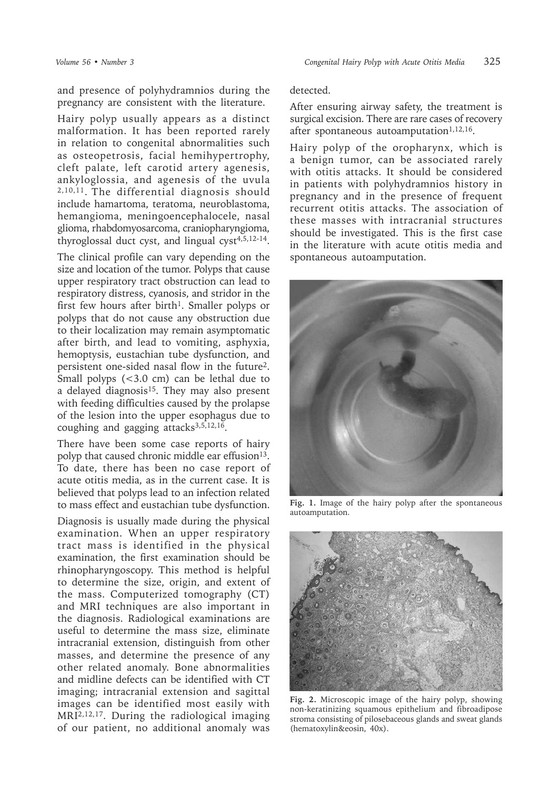and presence of polyhydramnios during the pregnancy are consistent with the literature.

Hairy polyp usually appears as a distinct malformation. It has been reported rarely in relation to congenital abnormalities such as osteopetrosis, facial hemihypertrophy, cleft palate, left carotid artery agenesis, ankyloglossia, and agenesis of the uvula 2,10,11. The differential diagnosis should include hamartoma, teratoma, neuroblastoma, hemangioma, meningoencephalocele, nasal glioma, rhabdomyosarcoma, craniopharyngioma, thyroglossal duct cyst, and lingual cyst $4,5,12-14$ .

The clinical profile can vary depending on the size and location of the tumor. Polyps that cause upper respiratory tract obstruction can lead to respiratory distress, cyanosis, and stridor in the first few hours after birth<sup>1</sup>. Smaller polyps or polyps that do not cause any obstruction due to their localization may remain asymptomatic after birth, and lead to vomiting, asphyxia, hemoptysis, eustachian tube dysfunction, and persistent one-sided nasal flow in the future2. Small polyps (<3.0 cm) can be lethal due to a delayed diagnosis<sup>15</sup>. They may also present with feeding difficulties caused by the prolapse of the lesion into the upper esophagus due to coughing and gagging  $attacks^{3,5,12,16}$ .

There have been some case reports of hairy polyp that caused chronic middle ear effusion<sup>13</sup>. To date, there has been no case report of acute otitis media, as in the current case. It is believed that polyps lead to an infection related to mass effect and eustachian tube dysfunction.

Diagnosis is usually made during the physical examination. When an upper respiratory tract mass is identified in the physical examination, the first examination should be rhinopharyngoscopy. This method is helpful to determine the size, origin, and extent of the mass. Computerized tomography (CT) and MRI techniques are also important in the diagnosis. Radiological examinations are useful to determine the mass size, eliminate intracranial extension, distinguish from other masses, and determine the presence of any other related anomaly. Bone abnormalities and midline defects can be identified with CT imaging; intracranial extension and sagittal images can be identified most easily with MRI2,12,17. During the radiological imaging of our patient, no additional anomaly was

detected.

After ensuring airway safety, the treatment is surgical excision. There are rare cases of recovery after spontaneous autoamputation $1,12,16$ .

Hairy polyp of the oropharynx, which is a benign tumor, can be associated rarely with otitis attacks. It should be considered in patients with polyhydramnios history in pregnancy and in the presence of frequent recurrent otitis attacks. The association of these masses with intracranial structures should be investigated. This is the first case in the literature with acute otitis media and spontaneous autoamputation.



**Fig. 1.** Image of the hairy polyp after the spontaneous autoamputation.



**Fig. 2.** Microscopic image of the hairy polyp, showing non-keratinizing squamous epithelium and fibroadipose stroma consisting of pilosebaceous glands and sweat glands (hematoxylin&eosin, 40x).